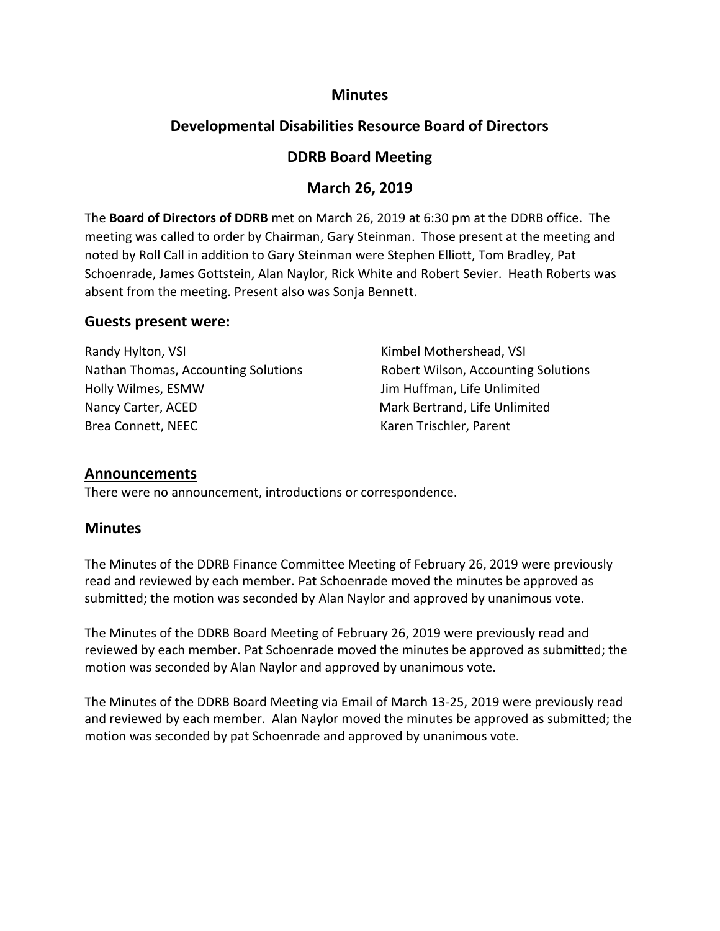## **Minutes**

# **Developmental Disabilities Resource Board of Directors**

## **DDRB Board Meeting**

## **March 26, 2019**

The **Board of Directors of DDRB** met on March 26, 2019 at 6:30 pm at the DDRB office. The meeting was called to order by Chairman, Gary Steinman. Those present at the meeting and noted by Roll Call in addition to Gary Steinman were Stephen Elliott, Tom Bradley, Pat Schoenrade, James Gottstein, Alan Naylor, Rick White and Robert Sevier. Heath Roberts was absent from the meeting. Present also was Sonja Bennett.

#### **Guests present were:**

| Randy Hylton, VSI                   | Kimbel Mothershead, VSI             |
|-------------------------------------|-------------------------------------|
| Nathan Thomas, Accounting Solutions | Robert Wilson, Accounting Solutions |
| Holly Wilmes, ESMW                  | Jim Huffman, Life Unlimited         |
| Nancy Carter, ACED                  | Mark Bertrand, Life Unlimited       |
| Brea Connett, NEEC                  | Karen Trischler, Parent             |

#### **Announcements**

There were no announcement, introductions or correspondence.

# **Minutes**

The Minutes of the DDRB Finance Committee Meeting of February 26, 2019 were previously read and reviewed by each member. Pat Schoenrade moved the minutes be approved as submitted; the motion was seconded by Alan Naylor and approved by unanimous vote.

The Minutes of the DDRB Board Meeting of February 26, 2019 were previously read and reviewed by each member. Pat Schoenrade moved the minutes be approved as submitted; the motion was seconded by Alan Naylor and approved by unanimous vote.

The Minutes of the DDRB Board Meeting via Email of March 13-25, 2019 were previously read and reviewed by each member. Alan Naylor moved the minutes be approved as submitted; the motion was seconded by pat Schoenrade and approved by unanimous vote.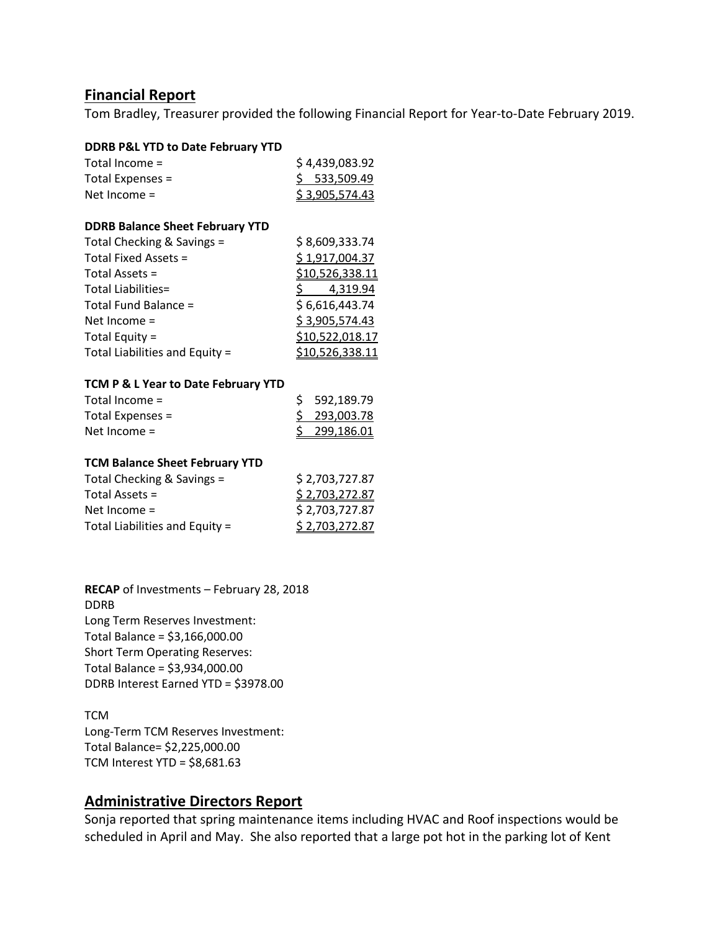#### **Financial Report**

Tom Bradley, Treasurer provided the following Financial Report for Year-to-Date February 2019.

| <b>DDRB P&amp;L YTD to Date February YTD</b> |                          |
|----------------------------------------------|--------------------------|
| Total Income =                               | \$4,439,083.92           |
| Total Expenses =                             | \$533,509.49             |
| Net Income $=$                               | \$3,905,574.43           |
| <b>DDRB Balance Sheet February YTD</b>       |                          |
| Total Checking & Savings =                   | \$8,609,333.74           |
| Total Fixed Assets =                         | <u>\$1,917,004.37</u>    |
| Total Assets =                               | <u>\$10,526,338.11</u>   |
| <b>Total Liabilities=</b>                    | $\frac{5}{9}$ 4,319.94   |
| Total Fund Balance =                         | \$6,616,443.74           |
| Net Income $=$                               | <u>\$3,905,574.43</u>    |
| Total Equity =                               | <u>\$10,522,018.17</u>   |
| Total Liabilities and Equity =               | <u>\$10,526,338.11</u>   |
| TCM P & L Year to Date February YTD          |                          |
| Total Income =                               | \$.<br>592,189.79        |
| Total Expenses =                             | <u>\$_</u><br>293,003.78 |
| Net Income =                                 | \$<br>299,186.01         |
| <b>TCM Balance Sheet February YTD</b>        |                          |
| Total Checking & Savings =                   | \$2,703,727.87           |
| Total Assets =                               | \$2,703,272.87           |
| Net Income =                                 | \$ 2,703,727.87          |
| Total Liabilities and Equity =               | <u>\$2,703,272.87</u>    |

**RECAP** of Investments – February 28, 2018 DDRB Long Term Reserves Investment: Total Balance = \$3,166,000.00 Short Term Operating Reserves: Total Balance = \$3,934,000.00 DDRB Interest Earned YTD = \$3978.00

#### **TCM** Long-Term TCM Reserves Investment: Total Balance= \$2,225,000.00 TCM Interest YTD = \$8,681.63

## **Administrative Directors Report**

Sonja reported that spring maintenance items including HVAC and Roof inspections would be scheduled in April and May. She also reported that a large pot hot in the parking lot of Kent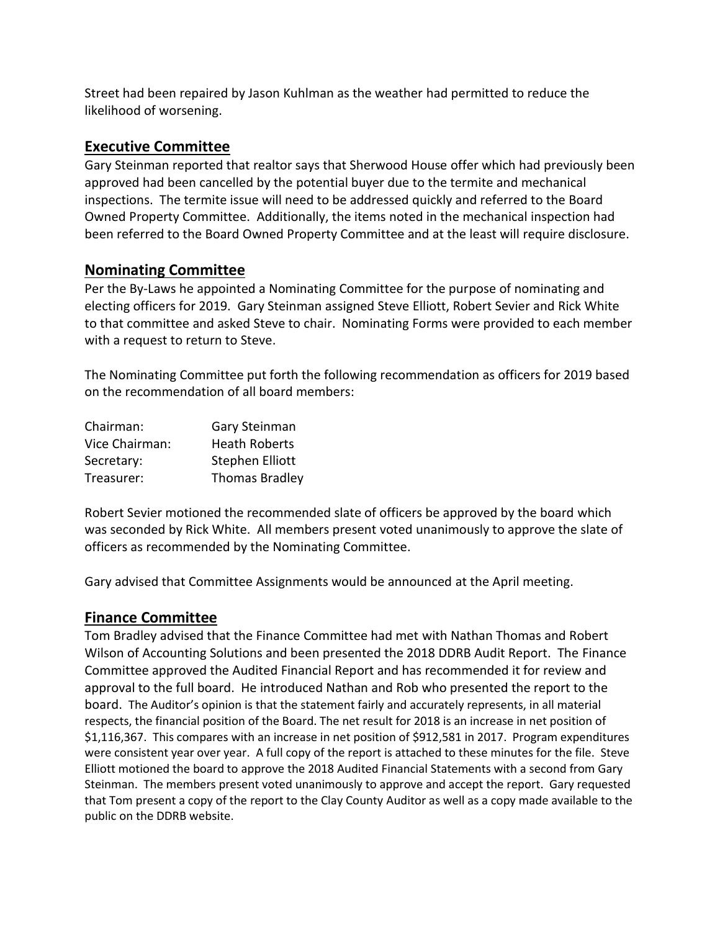Street had been repaired by Jason Kuhlman as the weather had permitted to reduce the likelihood of worsening.

## **Executive Committee**

Gary Steinman reported that realtor says that Sherwood House offer which had previously been approved had been cancelled by the potential buyer due to the termite and mechanical inspections. The termite issue will need to be addressed quickly and referred to the Board Owned Property Committee. Additionally, the items noted in the mechanical inspection had been referred to the Board Owned Property Committee and at the least will require disclosure.

## **Nominating Committee**

Per the By-Laws he appointed a Nominating Committee for the purpose of nominating and electing officers for 2019. Gary Steinman assigned Steve Elliott, Robert Sevier and Rick White to that committee and asked Steve to chair. Nominating Forms were provided to each member with a request to return to Steve.

The Nominating Committee put forth the following recommendation as officers for 2019 based on the recommendation of all board members:

| Chairman:      | Gary Steinman         |
|----------------|-----------------------|
| Vice Chairman: | <b>Heath Roberts</b>  |
| Secretary:     | Stephen Elliott       |
| Treasurer:     | <b>Thomas Bradley</b> |

Robert Sevier motioned the recommended slate of officers be approved by the board which was seconded by Rick White. All members present voted unanimously to approve the slate of officers as recommended by the Nominating Committee.

Gary advised that Committee Assignments would be announced at the April meeting.

#### **Finance Committee**

Tom Bradley advised that the Finance Committee had met with Nathan Thomas and Robert Wilson of Accounting Solutions and been presented the 2018 DDRB Audit Report. The Finance Committee approved the Audited Financial Report and has recommended it for review and approval to the full board. He introduced Nathan and Rob who presented the report to the board. The Auditor's opinion is that the statement fairly and accurately represents, in all material respects, the financial position of the Board. The net result for 2018 is an increase in net position of \$1,116,367. This compares with an increase in net position of \$912,581 in 2017. Program expenditures were consistent year over year. A full copy of the report is attached to these minutes for the file. Steve Elliott motioned the board to approve the 2018 Audited Financial Statements with a second from Gary Steinman. The members present voted unanimously to approve and accept the report. Gary requested that Tom present a copy of the report to the Clay County Auditor as well as a copy made available to the public on the DDRB website.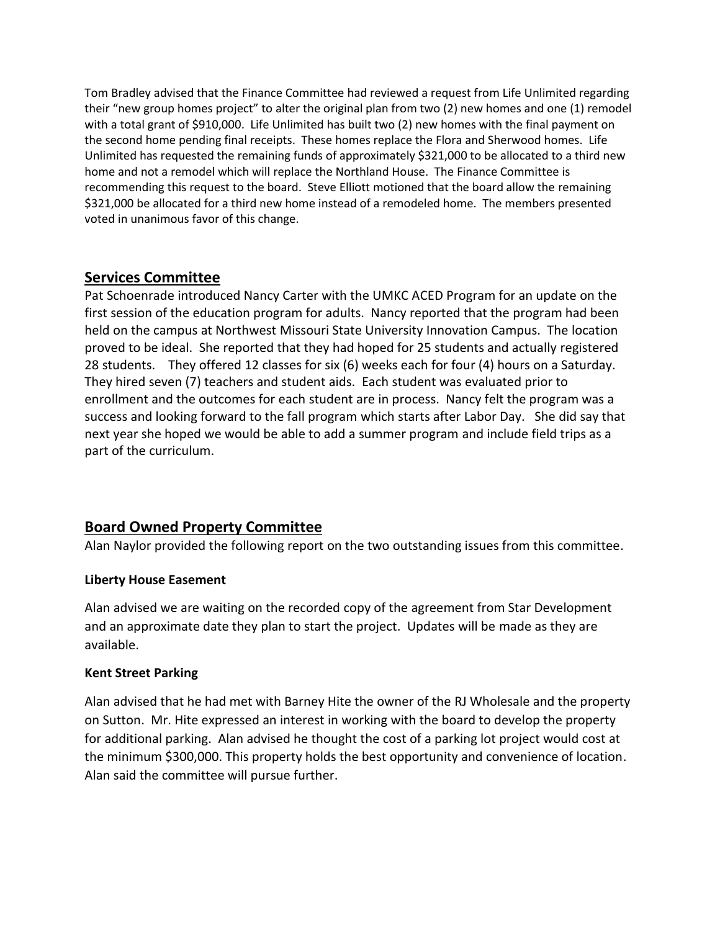Tom Bradley advised that the Finance Committee had reviewed a request from Life Unlimited regarding their "new group homes project" to alter the original plan from two (2) new homes and one (1) remodel with a total grant of \$910,000. Life Unlimited has built two (2) new homes with the final payment on the second home pending final receipts. These homes replace the Flora and Sherwood homes. Life Unlimited has requested the remaining funds of approximately \$321,000 to be allocated to a third new home and not a remodel which will replace the Northland House. The Finance Committee is recommending this request to the board. Steve Elliott motioned that the board allow the remaining \$321,000 be allocated for a third new home instead of a remodeled home. The members presented voted in unanimous favor of this change.

#### **Services Committee**

Pat Schoenrade introduced Nancy Carter with the UMKC ACED Program for an update on the first session of the education program for adults. Nancy reported that the program had been held on the campus at Northwest Missouri State University Innovation Campus. The location proved to be ideal. She reported that they had hoped for 25 students and actually registered 28 students. They offered 12 classes for six (6) weeks each for four (4) hours on a Saturday. They hired seven (7) teachers and student aids. Each student was evaluated prior to enrollment and the outcomes for each student are in process. Nancy felt the program was a success and looking forward to the fall program which starts after Labor Day. She did say that next year she hoped we would be able to add a summer program and include field trips as a part of the curriculum.

## **Board Owned Property Committee**

Alan Naylor provided the following report on the two outstanding issues from this committee.

#### **Liberty House Easement**

Alan advised we are waiting on the recorded copy of the agreement from Star Development and an approximate date they plan to start the project. Updates will be made as they are available.

#### **Kent Street Parking**

Alan advised that he had met with Barney Hite the owner of the RJ Wholesale and the property on Sutton. Mr. Hite expressed an interest in working with the board to develop the property for additional parking. Alan advised he thought the cost of a parking lot project would cost at the minimum \$300,000. This property holds the best opportunity and convenience of location. Alan said the committee will pursue further.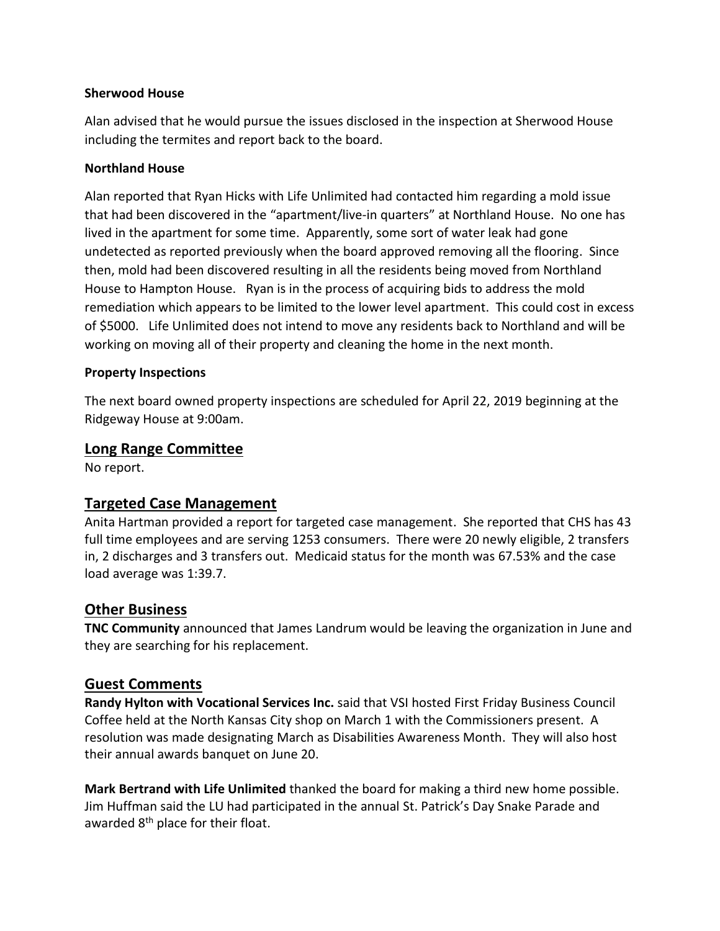#### **Sherwood House**

Alan advised that he would pursue the issues disclosed in the inspection at Sherwood House including the termites and report back to the board.

#### **Northland House**

Alan reported that Ryan Hicks with Life Unlimited had contacted him regarding a mold issue that had been discovered in the "apartment/live-in quarters" at Northland House. No one has lived in the apartment for some time. Apparently, some sort of water leak had gone undetected as reported previously when the board approved removing all the flooring. Since then, mold had been discovered resulting in all the residents being moved from Northland House to Hampton House. Ryan is in the process of acquiring bids to address the mold remediation which appears to be limited to the lower level apartment. This could cost in excess of \$5000. Life Unlimited does not intend to move any residents back to Northland and will be working on moving all of their property and cleaning the home in the next month.

#### **Property Inspections**

The next board owned property inspections are scheduled for April 22, 2019 beginning at the Ridgeway House at 9:00am.

#### **Long Range Committee**

No report.

## **Targeted Case Management**

Anita Hartman provided a report for targeted case management. She reported that CHS has 43 full time employees and are serving 1253 consumers. There were 20 newly eligible, 2 transfers in, 2 discharges and 3 transfers out. Medicaid status for the month was 67.53% and the case load average was 1:39.7.

#### **Other Business**

**TNC Community** announced that James Landrum would be leaving the organization in June and they are searching for his replacement.

#### **Guest Comments**

**Randy Hylton with Vocational Services Inc.** said that VSI hosted First Friday Business Council Coffee held at the North Kansas City shop on March 1 with the Commissioners present. A resolution was made designating March as Disabilities Awareness Month. They will also host their annual awards banquet on June 20.

**Mark Bertrand with Life Unlimited** thanked the board for making a third new home possible. Jim Huffman said the LU had participated in the annual St. Patrick's Day Snake Parade and awarded 8<sup>th</sup> place for their float.